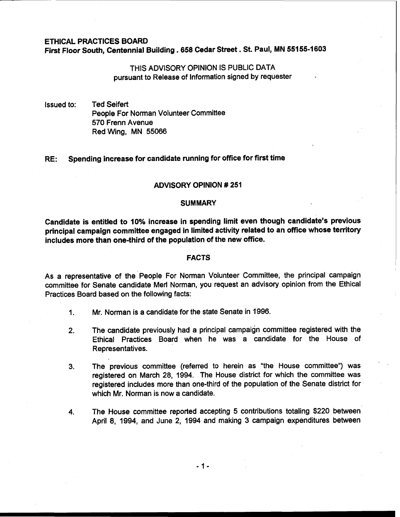# ETHICAL PRACTICES BOARD First Floor South, Centennial Building . 658 Cedar Street . St. Paul, MN 55155-1603

# THIS ADVISORY OPINION IS PUBLIC DATA pursuant to Release of Information signed by requester

Issued to: Ted Seifert People For Norman Volunteer Committee 570 Frenn Avenue Red Wing, MN 55066

# RE: Spending increase for candidate running for office for first time

### ADVISORY OPINION # 251

#### **SUMMARY**

Candidate is entitled to 10% increase in spending limit even though candidate's previous principal campaign committee engaged in limited activity related to an office whose territory includes more than one-third of the population of the new office.

## FACTS

As a representative of the People For Norman Volunteer Committee, the principal campaign committee for Senate candidate Merl Norman, you request an advisory opinion from the Ethical Practices Board based on the following facts:

- I. Mr. Norman is a candidate for the state Senate in 1996.
- 2. The candidate previously had a principal campaign committee registered with the Ethical Practices Board when he was a candidate for the House of Representatives.
- **3.** The previous committee (referred to herein as "the House committee") was registered on March 28, 1994. The House district for which the committee was registered includes more than one-third of the population of the Senate district for which Mr. Norman is now a candidate.
- 4. The House committee reported accepting 5 contributions totaling \$220 between April 8, 1994, and June 2, 1994 and making 3 campaign expenditures between